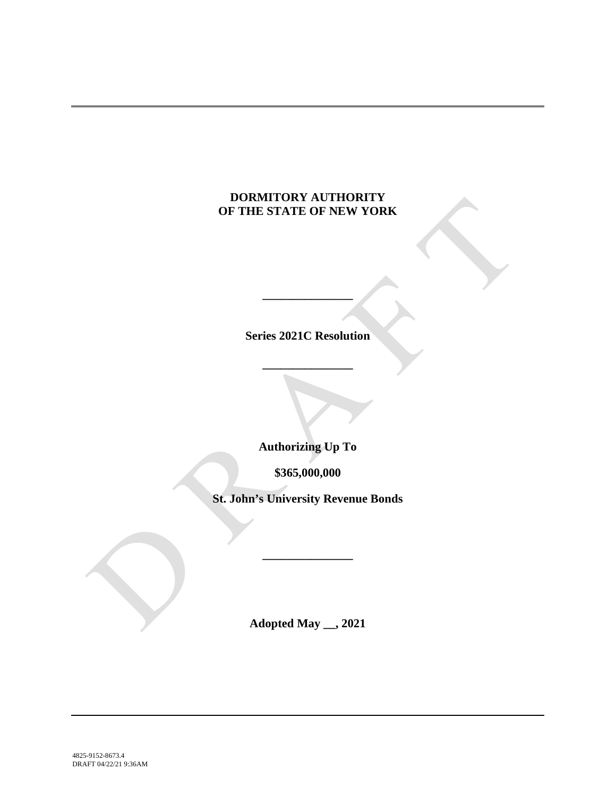# **DORMITORY AUTHORITY OF THE STATE OF NEW YORK**

**Series 2021C Resolution**

**\_\_\_\_\_\_\_\_\_\_\_\_\_\_\_**

**\_\_\_\_\_\_\_\_\_\_\_\_\_\_\_**

**Authorizing Up To**

**\$365,000,000**

**St. John's University Revenue Bonds**

**\_\_\_\_\_\_\_\_\_\_\_\_\_\_\_**

**Adopted May \_\_, 2021**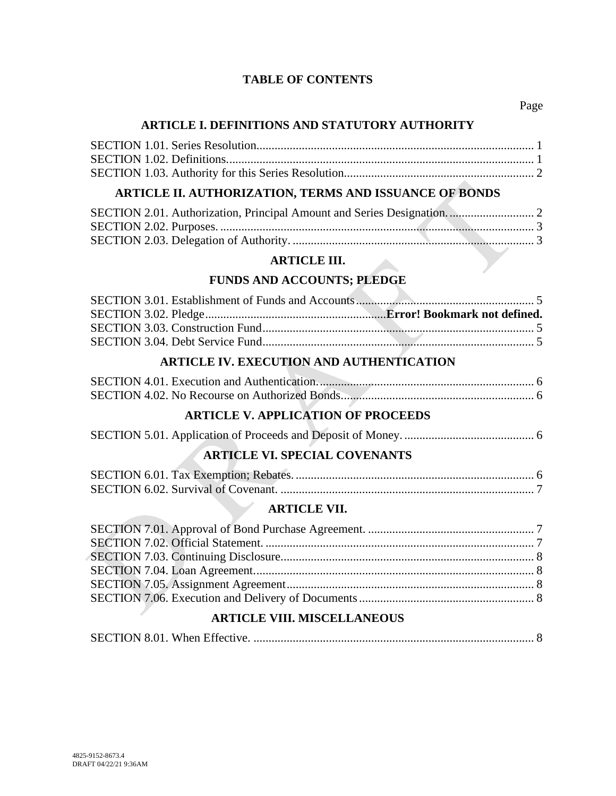# **TABLE OF CONTENTS**

### **ARTICLE I. DEFINITIONS AND STATUTORY AUTHORITY**

# **ARTICLE II. AUTHORIZATION, TERMS AND ISSUANCE OF BONDS**

#### **ARTICLE III.**

# **FUNDS AND ACCOUNTS; PLEDGE**

# **ARTICLE IV. EXECUTION AND AUTHENTICATION**

# **ARTICLE V. APPLICATION OF PROCEEDS**

# **ARTICLE VI. SPECIAL COVENANTS**

# **ARTICLE VII.**

# **ARTICLE VIII. MISCELLANEOUS**

|--|--|--|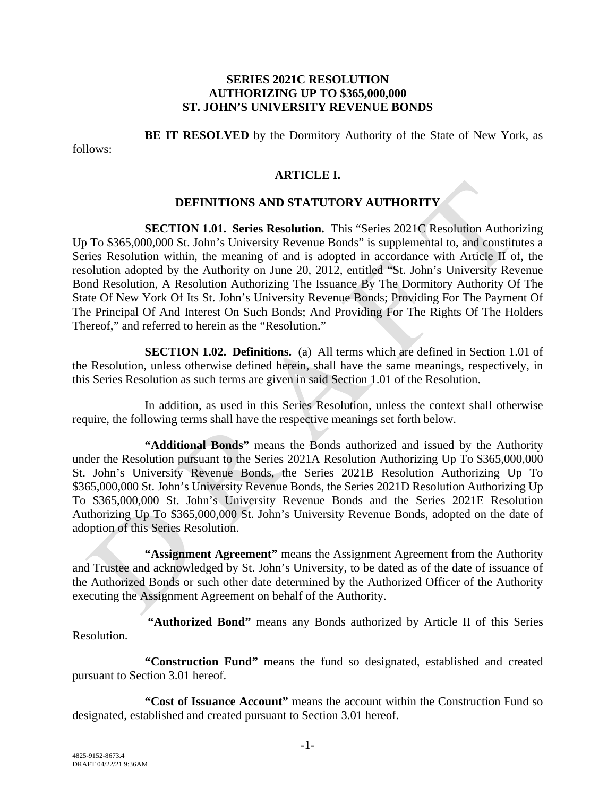#### **SERIES 2021C RESOLUTION AUTHORIZING UP TO \$365,000,000 ST. JOHN'S UNIVERSITY REVENUE BONDS**

**BE IT RESOLVED** by the Dormitory Authority of the State of New York, as

follows:

# **ARTICLE I.**

#### **DEFINITIONS AND STATUTORY AUTHORITY**

**SECTION 1.01. Series Resolution.** This "Series 2021C Resolution Authorizing Up To \$365,000,000 St. John's University Revenue Bonds" is supplemental to, and constitutes a Series Resolution within, the meaning of and is adopted in accordance with Article II of, the resolution adopted by the Authority on June 20, 2012, entitled "St. John's University Revenue Bond Resolution, A Resolution Authorizing The Issuance By The Dormitory Authority Of The State Of New York Of Its St. John's University Revenue Bonds; Providing For The Payment Of The Principal Of And Interest On Such Bonds; And Providing For The Rights Of The Holders Thereof," and referred to herein as the "Resolution."

**SECTION 1.02. Definitions.** (a) All terms which are defined in Section 1.01 of the Resolution, unless otherwise defined herein, shall have the same meanings, respectively, in this Series Resolution as such terms are given in said Section 1.01 of the Resolution.

In addition, as used in this Series Resolution, unless the context shall otherwise require, the following terms shall have the respective meanings set forth below.

**"Additional Bonds"** means the Bonds authorized and issued by the Authority under the Resolution pursuant to the Series 2021A Resolution Authorizing Up To \$365,000,000 St. John's University Revenue Bonds, the Series 2021B Resolution Authorizing Up To \$365,000,000 St. John's University Revenue Bonds, the Series 2021D Resolution Authorizing Up To \$365,000,000 St. John's University Revenue Bonds and the Series 2021E Resolution Authorizing Up To \$365,000,000 St. John's University Revenue Bonds, adopted on the date of adoption of this Series Resolution.

**"Assignment Agreement"** means the Assignment Agreement from the Authority and Trustee and acknowledged by St. John's University, to be dated as of the date of issuance of the Authorized Bonds or such other date determined by the Authorized Officer of the Authority executing the Assignment Agreement on behalf of the Authority.

**"Authorized Bond"** means any Bonds authorized by Article II of this Series Resolution.

**"Construction Fund"** means the fund so designated, established and created pursuant to Section 3.01 hereof.

**"Cost of Issuance Account"** means the account within the Construction Fund so designated, established and created pursuant to Section 3.01 hereof.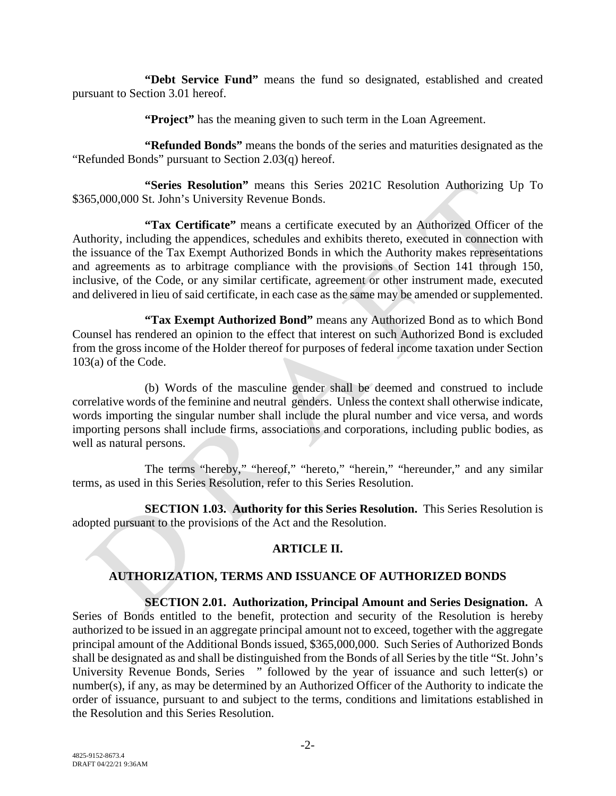**"Debt Service Fund"** means the fund so designated, established and created pursuant to Section 3.01 hereof.

**"Project"** has the meaning given to such term in the Loan Agreement.

**"Refunded Bonds"** means the bonds of the series and maturities designated as the "Refunded Bonds" pursuant to Section 2.03(q) hereof.

**"Series Resolution"** means this Series 2021C Resolution Authorizing Up To \$365,000,000 St. John's University Revenue Bonds.

**"Tax Certificate"** means a certificate executed by an Authorized Officer of the Authority, including the appendices, schedules and exhibits thereto, executed in connection with the issuance of the Tax Exempt Authorized Bonds in which the Authority makes representations and agreements as to arbitrage compliance with the provisions of Section 141 through 150, inclusive, of the Code, or any similar certificate, agreement or other instrument made, executed and delivered in lieu of said certificate, in each case as the same may be amended or supplemented.

**"Tax Exempt Authorized Bond"** means any Authorized Bond as to which Bond Counsel has rendered an opinion to the effect that interest on such Authorized Bond is excluded from the gross income of the Holder thereof for purposes of federal income taxation under Section 103(a) of the Code.

(b) Words of the masculine gender shall be deemed and construed to include correlative words of the feminine and neutral genders. Unless the context shall otherwise indicate, words importing the singular number shall include the plural number and vice versa, and words importing persons shall include firms, associations and corporations, including public bodies, as well as natural persons.

The terms "hereby," "hereof," "hereto," "herein," "hereunder," and any similar terms, as used in this Series Resolution, refer to this Series Resolution.

**SECTION 1.03. Authority for this Series Resolution.** This Series Resolution is adopted pursuant to the provisions of the Act and the Resolution.

# **ARTICLE II.**

# **AUTHORIZATION, TERMS AND ISSUANCE OF AUTHORIZED BONDS**

# **SECTION 2.01. Authorization, Principal Amount and Series Designation.** A

Series of Bonds entitled to the benefit, protection and security of the Resolution is hereby authorized to be issued in an aggregate principal amount not to exceed, together with the aggregate principal amount of the Additional Bonds issued, \$365,000,000. Such Series of Authorized Bonds shall be designated as and shall be distinguished from the Bonds of all Series by the title "St. John's University Revenue Bonds, Series " followed by the year of issuance and such letter(s) or number(s), if any, as may be determined by an Authorized Officer of the Authority to indicate the order of issuance, pursuant to and subject to the terms, conditions and limitations established in the Resolution and this Series Resolution.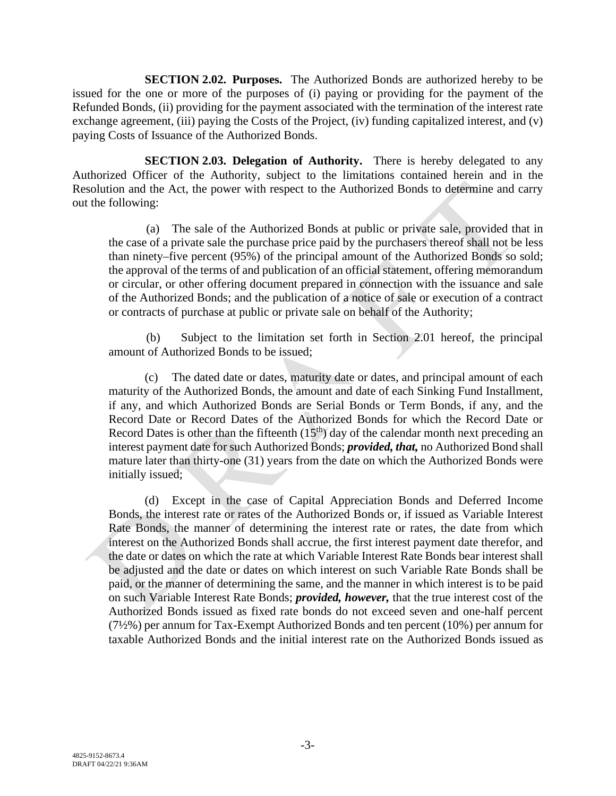**SECTION 2.02. Purposes.** The Authorized Bonds are authorized hereby to be issued for the one or more of the purposes of (i) paying or providing for the payment of the Refunded Bonds, (ii) providing for the payment associated with the termination of the interest rate exchange agreement, (iii) paying the Costs of the Project, (iv) funding capitalized interest, and (v) paying Costs of Issuance of the Authorized Bonds.

**SECTION 2.03. Delegation of Authority.** There is hereby delegated to any Authorized Officer of the Authority, subject to the limitations contained herein and in the Resolution and the Act, the power with respect to the Authorized Bonds to determine and carry out the following:

(a) The sale of the Authorized Bonds at public or private sale, provided that in the case of a private sale the purchase price paid by the purchasers thereof shall not be less than ninety–five percent (95%) of the principal amount of the Authorized Bonds so sold; the approval of the terms of and publication of an official statement, offering memorandum or circular, or other offering document prepared in connection with the issuance and sale of the Authorized Bonds; and the publication of a notice of sale or execution of a contract or contracts of purchase at public or private sale on behalf of the Authority;

(b) Subject to the limitation set forth in Section 2.01 hereof, the principal amount of Authorized Bonds to be issued;

(c) The dated date or dates, maturity date or dates, and principal amount of each maturity of the Authorized Bonds, the amount and date of each Sinking Fund Installment, if any, and which Authorized Bonds are Serial Bonds or Term Bonds, if any, and the Record Date or Record Dates of the Authorized Bonds for which the Record Date or Record Dates is other than the fifteenth  $(15<sup>th</sup>)$  day of the calendar month next preceding an interest payment date for such Authorized Bonds; *provided, that,* no Authorized Bond shall mature later than thirty-one (31) years from the date on which the Authorized Bonds were initially issued;

(d) Except in the case of Capital Appreciation Bonds and Deferred Income Bonds, the interest rate or rates of the Authorized Bonds or, if issued as Variable Interest Rate Bonds, the manner of determining the interest rate or rates, the date from which interest on the Authorized Bonds shall accrue, the first interest payment date therefor, and the date or dates on which the rate at which Variable Interest Rate Bonds bear interest shall be adjusted and the date or dates on which interest on such Variable Rate Bonds shall be paid, or the manner of determining the same, and the manner in which interest is to be paid on such Variable Interest Rate Bonds; *provided, however,* that the true interest cost of the Authorized Bonds issued as fixed rate bonds do not exceed seven and one-half percent (7½%) per annum for Tax-Exempt Authorized Bonds and ten percent (10%) per annum for taxable Authorized Bonds and the initial interest rate on the Authorized Bonds issued as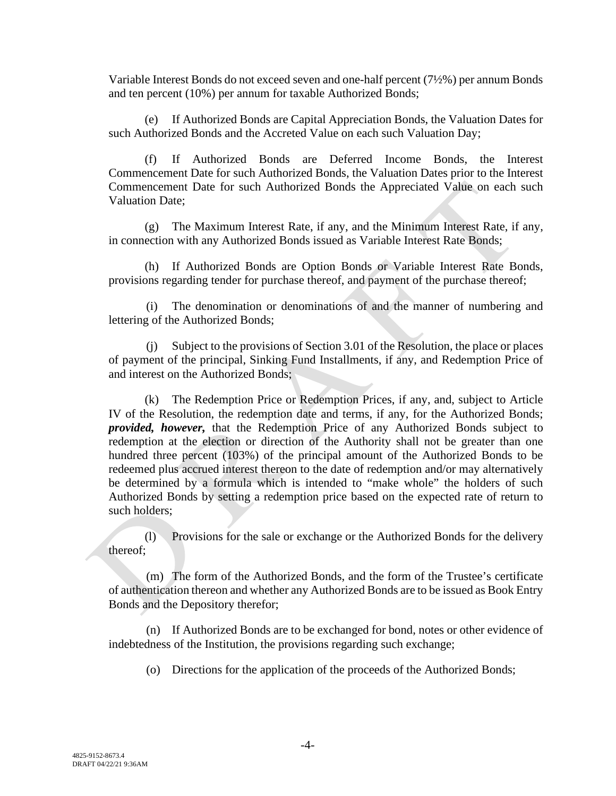Variable Interest Bonds do not exceed seven and one-half percent (7½%) per annum Bonds and ten percent (10%) per annum for taxable Authorized Bonds;

(e) If Authorized Bonds are Capital Appreciation Bonds, the Valuation Dates for such Authorized Bonds and the Accreted Value on each such Valuation Day;

(f) If Authorized Bonds are Deferred Income Bonds, the Interest Commencement Date for such Authorized Bonds, the Valuation Dates prior to the Interest Commencement Date for such Authorized Bonds the Appreciated Value on each such Valuation Date;

(g) The Maximum Interest Rate, if any, and the Minimum Interest Rate, if any, in connection with any Authorized Bonds issued as Variable Interest Rate Bonds;

(h) If Authorized Bonds are Option Bonds or Variable Interest Rate Bonds, provisions regarding tender for purchase thereof, and payment of the purchase thereof;

(i) The denomination or denominations of and the manner of numbering and lettering of the Authorized Bonds;

(j) Subject to the provisions of Section 3.01 of the Resolution, the place or places of payment of the principal, Sinking Fund Installments, if any, and Redemption Price of and interest on the Authorized Bonds;

(k) The Redemption Price or Redemption Prices, if any, and, subject to Article IV of the Resolution, the redemption date and terms, if any, for the Authorized Bonds; *provided, however,* that the Redemption Price of any Authorized Bonds subject to redemption at the election or direction of the Authority shall not be greater than one hundred three percent (103%) of the principal amount of the Authorized Bonds to be redeemed plus accrued interest thereon to the date of redemption and/or may alternatively be determined by a formula which is intended to "make whole" the holders of such Authorized Bonds by setting a redemption price based on the expected rate of return to such holders;

(l) Provisions for the sale or exchange or the Authorized Bonds for the delivery thereof;

(m) The form of the Authorized Bonds, and the form of the Trustee's certificate of authentication thereon and whether any Authorized Bonds are to be issued as Book Entry Bonds and the Depository therefor;

(n) If Authorized Bonds are to be exchanged for bond, notes or other evidence of indebtedness of the Institution, the provisions regarding such exchange;

(o) Directions for the application of the proceeds of the Authorized Bonds;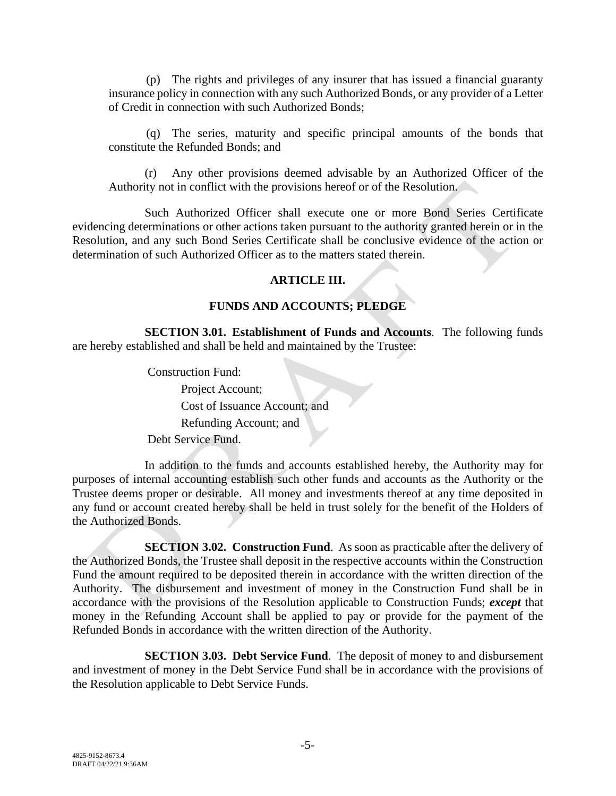(p) The rights and privileges of any insurer that has issued a financial guaranty insurance policy in connection with any such Authorized Bonds, or any provider of a Letter of Credit in connection with such Authorized Bonds;

(q) The series, maturity and specific principal amounts of the bonds that constitute the Refunded Bonds; and

(r) Any other provisions deemed advisable by an Authorized Officer of the Authority not in conflict with the provisions hereof or of the Resolution.

Such Authorized Officer shall execute one or more Bond Series Certificate evidencing determinations or other actions taken pursuant to the authority granted herein or in the Resolution, and any such Bond Series Certificate shall be conclusive evidence of the action or determination of such Authorized Officer as to the matters stated therein.

#### **ARTICLE III.**

# **FUNDS AND ACCOUNTS; PLEDGE**

**SECTION 3.01. Establishment of Funds and Accounts**. The following funds are hereby established and shall be held and maintained by the Trustee:

> Construction Fund: Project Account; Cost of Issuance Account; and Refunding Account; and Debt Service Fund.

In addition to the funds and accounts established hereby, the Authority may for purposes of internal accounting establish such other funds and accounts as the Authority or the Trustee deems proper or desirable. All money and investments thereof at any time deposited in any fund or account created hereby shall be held in trust solely for the benefit of the Holders of the Authorized Bonds.

**SECTION 3.02. Construction Fund**. As soon as practicable after the delivery of the Authorized Bonds, the Trustee shall deposit in the respective accounts within the Construction Fund the amount required to be deposited therein in accordance with the written direction of the Authority. The disbursement and investment of money in the Construction Fund shall be in accordance with the provisions of the Resolution applicable to Construction Funds; *except* that money in the Refunding Account shall be applied to pay or provide for the payment of the Refunded Bonds in accordance with the written direction of the Authority.

**SECTION 3.03. Debt Service Fund**. The deposit of money to and disbursement and investment of money in the Debt Service Fund shall be in accordance with the provisions of the Resolution applicable to Debt Service Funds.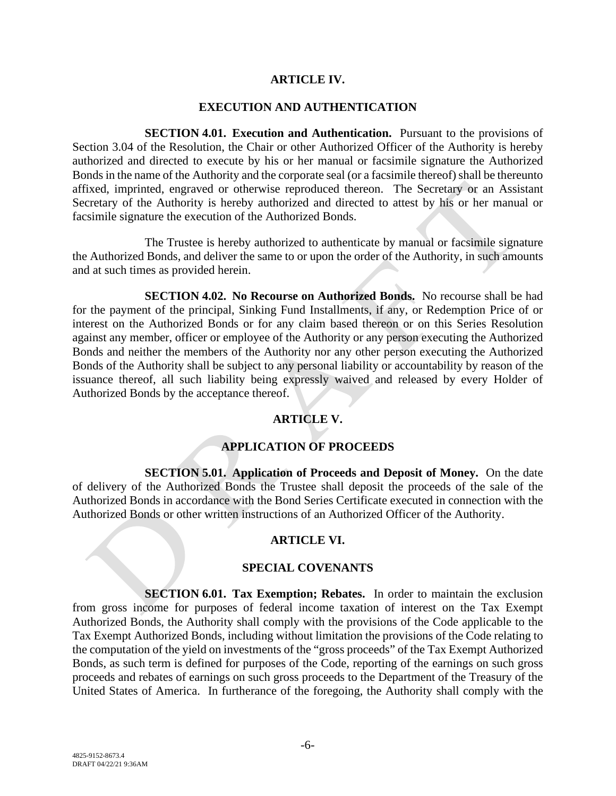#### **ARTICLE IV.**

#### **EXECUTION AND AUTHENTICATION**

**SECTION 4.01. Execution and Authentication.** Pursuant to the provisions of Section 3.04 of the Resolution, the Chair or other Authorized Officer of the Authority is hereby authorized and directed to execute by his or her manual or facsimile signature the Authorized Bonds in the name of the Authority and the corporate seal (or a facsimile thereof) shall be thereunto affixed, imprinted, engraved or otherwise reproduced thereon. The Secretary or an Assistant Secretary of the Authority is hereby authorized and directed to attest by his or her manual or facsimile signature the execution of the Authorized Bonds.

The Trustee is hereby authorized to authenticate by manual or facsimile signature the Authorized Bonds, and deliver the same to or upon the order of the Authority, in such amounts and at such times as provided herein.

**SECTION 4.02. No Recourse on Authorized Bonds.** No recourse shall be had for the payment of the principal, Sinking Fund Installments, if any, or Redemption Price of or interest on the Authorized Bonds or for any claim based thereon or on this Series Resolution against any member, officer or employee of the Authority or any person executing the Authorized Bonds and neither the members of the Authority nor any other person executing the Authorized Bonds of the Authority shall be subject to any personal liability or accountability by reason of the issuance thereof, all such liability being expressly waived and released by every Holder of Authorized Bonds by the acceptance thereof.

# **ARTICLE V.**

# **APPLICATION OF PROCEEDS**

**SECTION 5.01. Application of Proceeds and Deposit of Money.** On the date of delivery of the Authorized Bonds the Trustee shall deposit the proceeds of the sale of the Authorized Bonds in accordance with the Bond Series Certificate executed in connection with the Authorized Bonds or other written instructions of an Authorized Officer of the Authority.

#### **ARTICLE VI.**

#### **SPECIAL COVENANTS**

**SECTION 6.01. Tax Exemption; Rebates.** In order to maintain the exclusion from gross income for purposes of federal income taxation of interest on the Tax Exempt Authorized Bonds, the Authority shall comply with the provisions of the Code applicable to the Tax Exempt Authorized Bonds, including without limitation the provisions of the Code relating to the computation of the yield on investments of the "gross proceeds" of the Tax Exempt Authorized Bonds, as such term is defined for purposes of the Code, reporting of the earnings on such gross proceeds and rebates of earnings on such gross proceeds to the Department of the Treasury of the United States of America. In furtherance of the foregoing, the Authority shall comply with the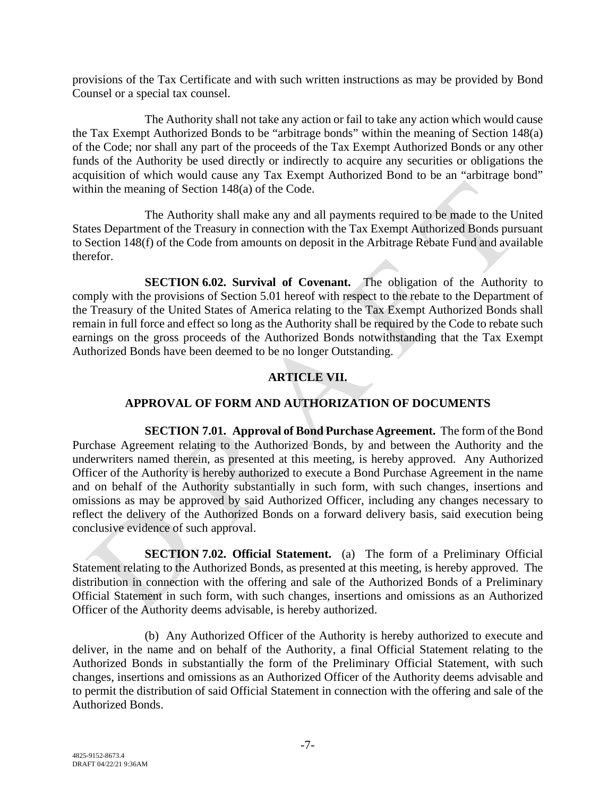provisions of the Tax Certificate and with such written instructions as may be provided by Bond Counsel or a special tax counsel.

The Authority shall not take any action or fail to take any action which would cause the Tax Exempt Authorized Bonds to be "arbitrage bonds" within the meaning of Section 148(a) of the Code; nor shall any part of the proceeds of the Tax Exempt Authorized Bonds or any other funds of the Authority be used directly or indirectly to acquire any securities or obligations the acquisition of which would cause any Tax Exempt Authorized Bond to be an "arbitrage bond" within the meaning of Section 148(a) of the Code.

The Authority shall make any and all payments required to be made to the United States Department of the Treasury in connection with the Tax Exempt Authorized Bonds pursuant to Section 148(f) of the Code from amounts on deposit in the Arbitrage Rebate Fund and available therefor.

**SECTION 6.02. Survival of Covenant.** The obligation of the Authority to comply with the provisions of Section 5.01 hereof with respect to the rebate to the Department of the Treasury of the United States of America relating to the Tax Exempt Authorized Bonds shall remain in full force and effect so long as the Authority shall be required by the Code to rebate such earnings on the gross proceeds of the Authorized Bonds notwithstanding that the Tax Exempt Authorized Bonds have been deemed to be no longer Outstanding.

# **ARTICLE VII.**

# **APPROVAL OF FORM AND AUTHORIZATION OF DOCUMENTS**

**SECTION 7.01. Approval of Bond Purchase Agreement.** The form of the Bond Purchase Agreement relating to the Authorized Bonds, by and between the Authority and the underwriters named therein, as presented at this meeting, is hereby approved. Any Authorized Officer of the Authority is hereby authorized to execute a Bond Purchase Agreement in the name and on behalf of the Authority substantially in such form, with such changes, insertions and omissions as may be approved by said Authorized Officer, including any changes necessary to reflect the delivery of the Authorized Bonds on a forward delivery basis, said execution being conclusive evidence of such approval.

**SECTION 7.02. Official Statement.** (a) The form of a Preliminary Official Statement relating to the Authorized Bonds, as presented at this meeting, is hereby approved. The distribution in connection with the offering and sale of the Authorized Bonds of a Preliminary Official Statement in such form, with such changes, insertions and omissions as an Authorized Officer of the Authority deems advisable, is hereby authorized.

(b) Any Authorized Officer of the Authority is hereby authorized to execute and deliver, in the name and on behalf of the Authority, a final Official Statement relating to the Authorized Bonds in substantially the form of the Preliminary Official Statement, with such changes, insertions and omissions as an Authorized Officer of the Authority deems advisable and to permit the distribution of said Official Statement in connection with the offering and sale of the Authorized Bonds.